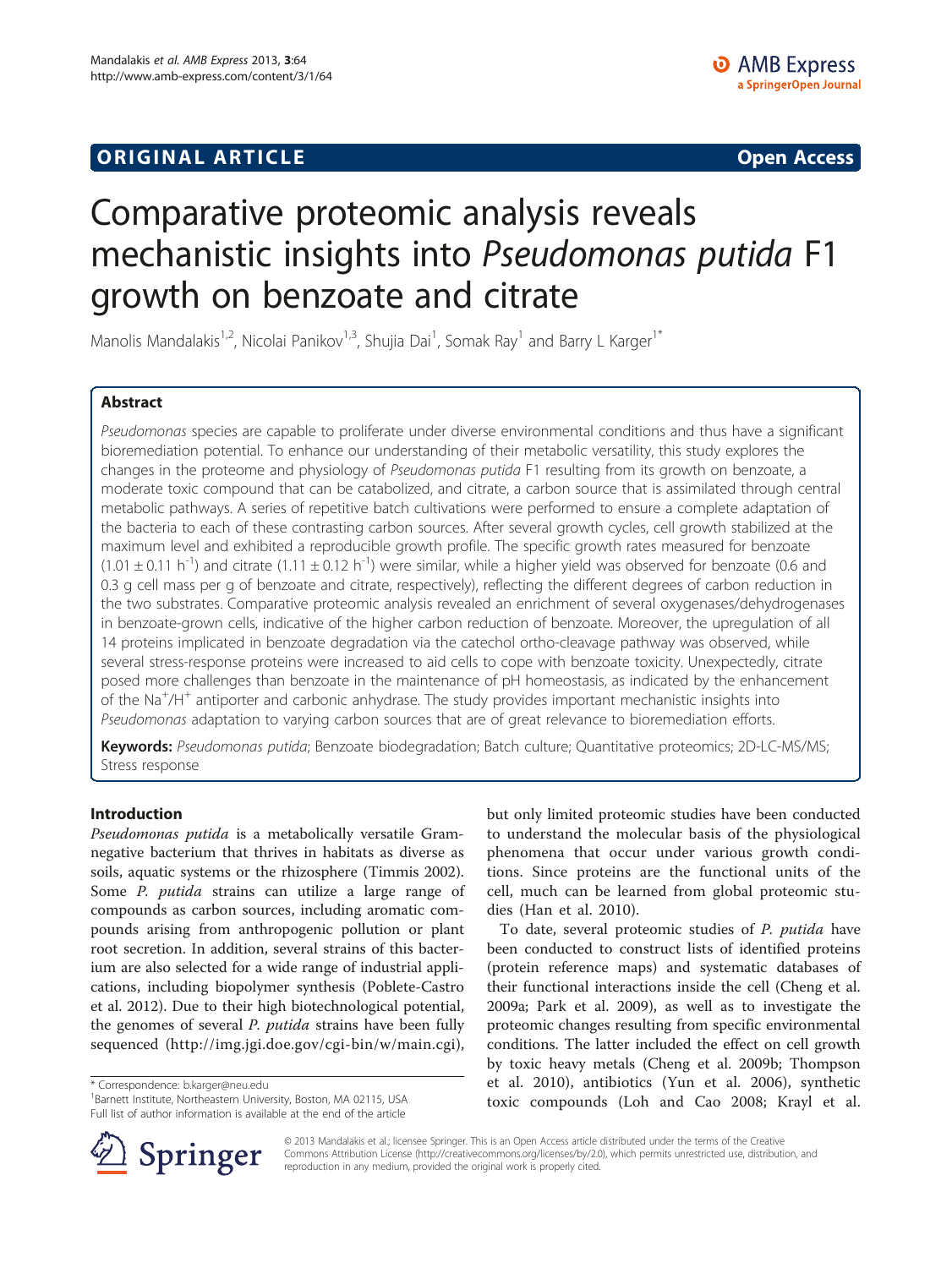## **ORIGINAL ARTICLE CONSERVANCE IN A LOCAL CONSERVANCE IN A LOCAL CONSERVANCE IN A LOCAL CONSERVANCE IN A LOCAL CONSERVANCE IN A LOCAL CONSERVANCE IN A LOCAL CONSERVANCE IN A LOCAL CONSERVANCE IN A LOCAL CONSERVANCE IN A L**

# Comparative proteomic analysis reveals mechanistic insights into Pseudomonas putida F1 growth on benzoate and citrate

Manolis Mandalakis<sup>1,2</sup>, Nicolai Panikov<sup>1,3</sup>, Shujia Dai<sup>1</sup>, Somak Ray<sup>1</sup> and Barry L Karger<sup>1\*</sup>

## Abstract

Pseudomonas species are capable to proliferate under diverse environmental conditions and thus have a significant bioremediation potential. To enhance our understanding of their metabolic versatility, this study explores the changes in the proteome and physiology of Pseudomonas putida F1 resulting from its growth on benzoate, a moderate toxic compound that can be catabolized, and citrate, a carbon source that is assimilated through central metabolic pathways. A series of repetitive batch cultivations were performed to ensure a complete adaptation of the bacteria to each of these contrasting carbon sources. After several growth cycles, cell growth stabilized at the maximum level and exhibited a reproducible growth profile. The specific growth rates measured for benzoate  $(1.01 \pm 0.11 \text{ h}^{-1})$  and citrate  $(1.11 \pm 0.12 \text{ h}^{-1})$  were similar, while a higher yield was observed for benzoate (0.6 and 0.3 g cell mass per g of benzoate and citrate, respectively), reflecting the different degrees of carbon reduction in the two substrates. Comparative proteomic analysis revealed an enrichment of several oxygenases/dehydrogenases in benzoate-grown cells, indicative of the higher carbon reduction of benzoate. Moreover, the upregulation of all 14 proteins implicated in benzoate degradation via the catechol ortho-cleavage pathway was observed, while several stress-response proteins were increased to aid cells to cope with benzoate toxicity. Unexpectedly, citrate posed more challenges than benzoate in the maintenance of pH homeostasis, as indicated by the enhancement .<br>of the Na<sup>+</sup>/H<sup>+</sup> antiporter and carbonic anhydrase. The study provides important mechanistic insights into Pseudomonas adaptation to varying carbon sources that are of great relevance to bioremediation efforts.

Keywords: Pseudomonas putida; Benzoate biodegradation; Batch culture; Quantitative proteomics; 2D-LC-MS/MS; Stress response

## Introduction

Pseudomonas putida is a metabolically versatile Gramnegative bacterium that thrives in habitats as diverse as soils, aquatic systems or the rhizosphere (Timmis [2002](#page-12-0)). Some P. putida strains can utilize a large range of compounds as carbon sources, including aromatic compounds arising from anthropogenic pollution or plant root secretion. In addition, several strains of this bacterium are also selected for a wide range of industrial applications, including biopolymer synthesis (Poblete-Castro et al. [2012](#page-11-0)). Due to their high biotechnological potential, the genomes of several *P. putida* strains have been fully sequenced (<http://img.jgi.doe.gov/cgi-bin/w/main.cgi>),

\* Correspondence: [b.karger@neu.edu](mailto:b.karger@neu.edu) <sup>1</sup>

<sup>1</sup>Barnett Institute, Northeastern University, Boston, MA 02115, USA Full list of author information is available at the end of the article

but only limited proteomic studies have been conducted to understand the molecular basis of the physiological phenomena that occur under various growth conditions. Since proteins are the functional units of the cell, much can be learned from global proteomic studies (Han et al. [2010\)](#page-11-0).

To date, several proteomic studies of P. putida have been conducted to construct lists of identified proteins (protein reference maps) and systematic databases of their functional interactions inside the cell (Cheng et al. [2009a;](#page-11-0) Park et al. [2009\)](#page-11-0), as well as to investigate the proteomic changes resulting from specific environmental conditions. The latter included the effect on cell growth by toxic heavy metals (Cheng et al. [2009b](#page-11-0); Thompson et al. [2010\)](#page-12-0), antibiotics (Yun et al. [2006\)](#page-12-0), synthetic toxic compounds (Loh and Cao [2008;](#page-11-0) Krayl et al.



© 2013 Mandalakis et al.; licensee Springer. This is an Open Access article distributed under the terms of the Creative Commons Attribution License (<http://creativecommons.org/licenses/by/2.0>), which permits unrestricted use, distribution, and reproduction in any medium, provided the original work is properly cited.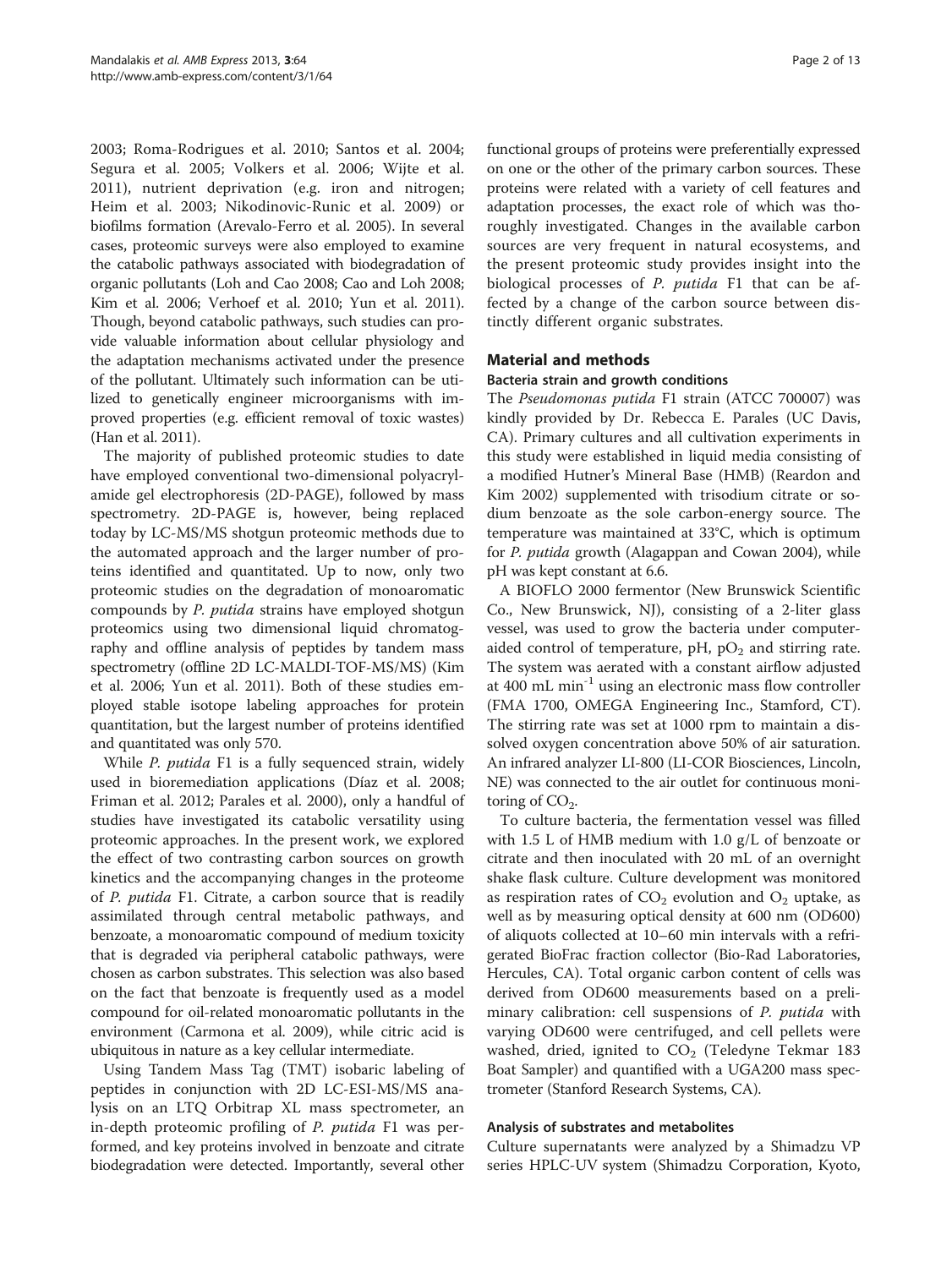[2003;](#page-11-0) Roma-Rodrigues et al. [2010;](#page-11-0) Santos et al. [2004](#page-12-0); Segura et al. [2005](#page-12-0); Volkers et al. [2006;](#page-12-0) Wijte et al. [2011\)](#page-12-0), nutrient deprivation (e.g. iron and nitrogen; Heim et al. [2003](#page-11-0); Nikodinovic-Runic et al. [2009\)](#page-11-0) or biofilms formation (Arevalo-Ferro et al. [2005](#page-11-0)). In several cases, proteomic surveys were also employed to examine the catabolic pathways associated with biodegradation of organic pollutants (Loh and Cao [2008](#page-11-0); Cao and Loh [2008](#page-11-0); Kim et al. [2006;](#page-11-0) Verhoef et al. [2010](#page-12-0); Yun et al. [2011](#page-12-0)). Though, beyond catabolic pathways, such studies can provide valuable information about cellular physiology and the adaptation mechanisms activated under the presence of the pollutant. Ultimately such information can be utilized to genetically engineer microorganisms with improved properties (e.g. efficient removal of toxic wastes) (Han et al. [2011](#page-11-0)).

The majority of published proteomic studies to date have employed conventional two-dimensional polyacrylamide gel electrophoresis (2D-PAGE), followed by mass spectrometry. 2D-PAGE is, however, being replaced today by LC-MS/MS shotgun proteomic methods due to the automated approach and the larger number of proteins identified and quantitated. Up to now, only two proteomic studies on the degradation of monoaromatic compounds by P. putida strains have employed shotgun proteomics using two dimensional liquid chromatography and offline analysis of peptides by tandem mass spectrometry (offline 2D LC-MALDI-TOF-MS/MS) (Kim et al. [2006;](#page-11-0) Yun et al. [2011\)](#page-12-0). Both of these studies employed stable isotope labeling approaches for protein quantitation, but the largest number of proteins identified and quantitated was only 570.

While P. putida F1 is a fully sequenced strain, widely used in bioremediation applications (Díaz et al. [2008](#page-11-0); Friman et al. [2012;](#page-11-0) Parales et al. [2000\)](#page-11-0), only a handful of studies have investigated its catabolic versatility using proteomic approaches. In the present work, we explored the effect of two contrasting carbon sources on growth kinetics and the accompanying changes in the proteome of P. putida F1. Citrate, a carbon source that is readily assimilated through central metabolic pathways, and benzoate, a monoaromatic compound of medium toxicity that is degraded via peripheral catabolic pathways, were chosen as carbon substrates. This selection was also based on the fact that benzoate is frequently used as a model compound for oil-related monoaromatic pollutants in the environment (Carmona et al. [2009\)](#page-11-0), while citric acid is ubiquitous in nature as a key cellular intermediate.

Using Tandem Mass Tag (TMT) isobaric labeling of peptides in conjunction with 2D LC-ESI-MS/MS analysis on an LTQ Orbitrap XL mass spectrometer, an in-depth proteomic profiling of P. putida F1 was performed, and key proteins involved in benzoate and citrate biodegradation were detected. Importantly, several other

functional groups of proteins were preferentially expressed on one or the other of the primary carbon sources. These proteins were related with a variety of cell features and adaptation processes, the exact role of which was thoroughly investigated. Changes in the available carbon sources are very frequent in natural ecosystems, and the present proteomic study provides insight into the biological processes of *P. putida* F1 that can be affected by a change of the carbon source between distinctly different organic substrates.

## Material and methods

#### Bacteria strain and growth conditions

The Pseudomonas putida F1 strain (ATCC 700007) was kindly provided by Dr. Rebecca E. Parales (UC Davis, CA). Primary cultures and all cultivation experiments in this study were established in liquid media consisting of a modified Hutner's Mineral Base (HMB) (Reardon and Kim [2002](#page-11-0)) supplemented with trisodium citrate or sodium benzoate as the sole carbon-energy source. The temperature was maintained at 33°C, which is optimum for P. putida growth (Alagappan and Cowan [2004\)](#page-11-0), while pH was kept constant at 6.6.

A BIOFLO 2000 fermentor (New Brunswick Scientific Co., New Brunswick, NJ), consisting of a 2-liter glass vessel, was used to grow the bacteria under computeraided control of temperature, pH,  $pO<sub>2</sub>$  and stirring rate. The system was aerated with a constant airflow adjusted at 400 mL min<sup>-1</sup> using an electronic mass flow controller (FMA 1700, OMEGA Engineering Inc., Stamford, CT). The stirring rate was set at 1000 rpm to maintain a dissolved oxygen concentration above 50% of air saturation. An infrared analyzer LI-800 (LI-COR Biosciences, Lincoln, NE) was connected to the air outlet for continuous monitoring of  $CO<sub>2</sub>$ .

To culture bacteria, the fermentation vessel was filled with 1.5 L of HMB medium with 1.0 g/L of benzoate or citrate and then inoculated with 20 mL of an overnight shake flask culture. Culture development was monitored as respiration rates of  $CO<sub>2</sub>$  evolution and  $O<sub>2</sub>$  uptake, as well as by measuring optical density at 600 nm (OD600) of aliquots collected at 10–60 min intervals with a refrigerated BioFrac fraction collector (Bio-Rad Laboratories, Hercules, CA). Total organic carbon content of cells was derived from OD600 measurements based on a preliminary calibration: cell suspensions of P. putida with varying OD600 were centrifuged, and cell pellets were washed, dried, ignited to  $CO<sub>2</sub>$  (Teledyne Tekmar 183 Boat Sampler) and quantified with a UGA200 mass spectrometer (Stanford Research Systems, CA).

#### Analysis of substrates and metabolites

Culture supernatants were analyzed by a Shimadzu VP series HPLC-UV system (Shimadzu Corporation, Kyoto,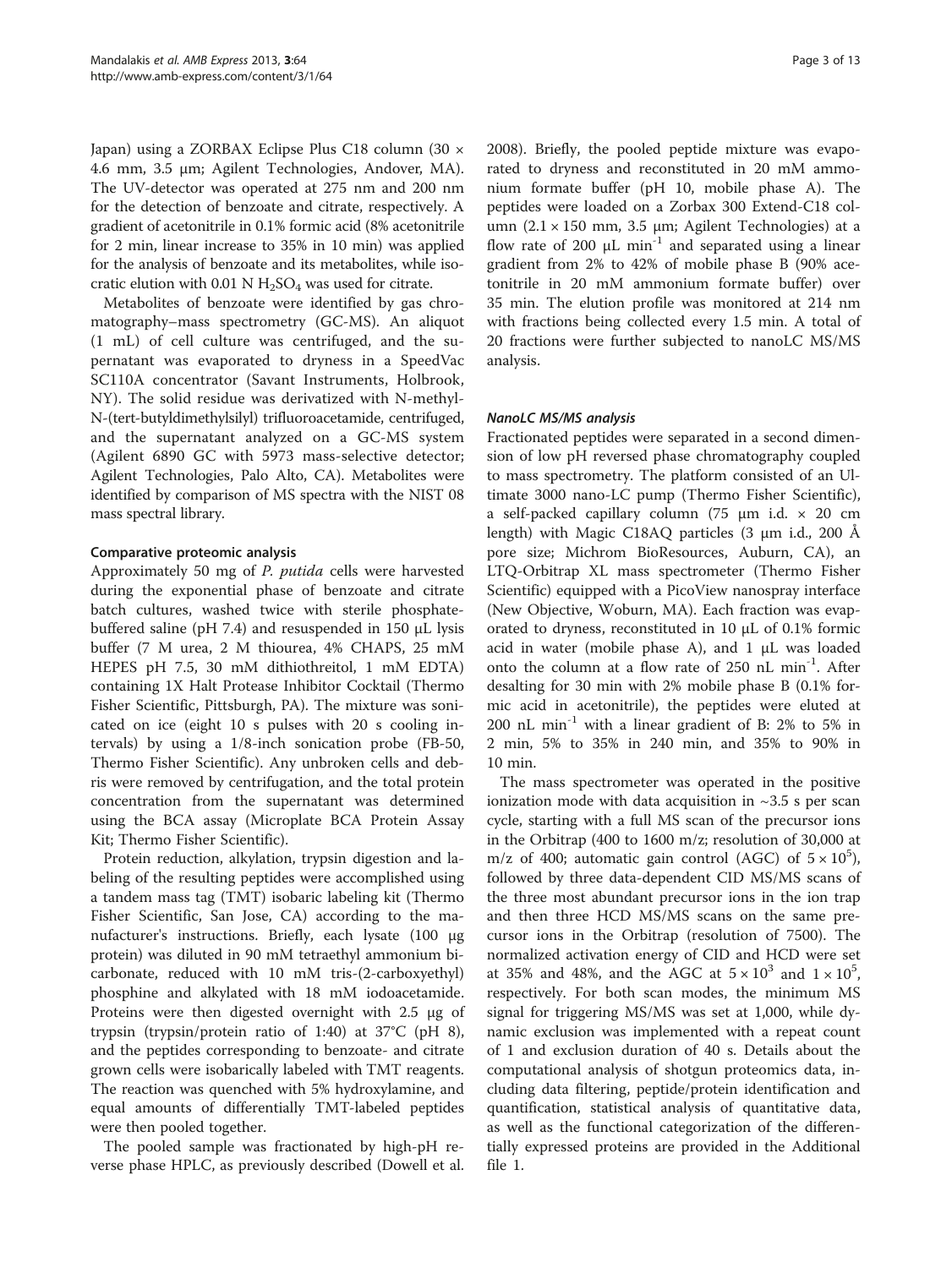Japan) using a ZORBAX Eclipse Plus C18 column (30 × 4.6 mm, 3.5 μm; Agilent Technologies, Andover, MA). The UV-detector was operated at 275 nm and 200 nm for the detection of benzoate and citrate, respectively. A gradient of acetonitrile in 0.1% formic acid (8% acetonitrile for 2 min, linear increase to 35% in 10 min) was applied for the analysis of benzoate and its metabolites, while isocratic elution with 0.01 N  $H_2SO_4$  was used for citrate.

Metabolites of benzoate were identified by gas chromatography–mass spectrometry (GC-MS). An aliquot (1 mL) of cell culture was centrifuged, and the supernatant was evaporated to dryness in a SpeedVac SC110A concentrator (Savant Instruments, Holbrook, NY). The solid residue was derivatized with N-methyl-N-(tert-butyldimethylsilyl) trifluoroacetamide, centrifuged, and the supernatant analyzed on a GC-MS system (Agilent 6890 GC with 5973 mass-selective detector; Agilent Technologies, Palo Alto, CA). Metabolites were identified by comparison of MS spectra with the NIST 08 mass spectral library.

## Comparative proteomic analysis

Approximately 50 mg of P. putida cells were harvested during the exponential phase of benzoate and citrate batch cultures, washed twice with sterile phosphatebuffered saline (pH 7.4) and resuspended in 150 μL lysis buffer (7 M urea, 2 M thiourea, 4% CHAPS, 25 mM HEPES pH 7.5, 30 mM dithiothreitol, 1 mM EDTA) containing 1X Halt Protease Inhibitor Cocktail (Thermo Fisher Scientific, Pittsburgh, PA). The mixture was sonicated on ice (eight 10 s pulses with 20 s cooling intervals) by using a 1/8-inch sonication probe (FB-50, Thermo Fisher Scientific). Any unbroken cells and debris were removed by centrifugation, and the total protein concentration from the supernatant was determined using the BCA assay (Microplate BCA Protein Assay Kit; Thermo Fisher Scientific).

Protein reduction, alkylation, trypsin digestion and labeling of the resulting peptides were accomplished using a tandem mass tag (TMT) isobaric labeling kit (Thermo Fisher Scientific, San Jose, CA) according to the manufacturer's instructions. Briefly, each lysate (100 μg protein) was diluted in 90 mM tetraethyl ammonium bicarbonate, reduced with 10 mM tris-(2-carboxyethyl) phosphine and alkylated with 18 mM iodoacetamide. Proteins were then digested overnight with 2.5 μg of trypsin (trypsin/protein ratio of 1:40) at 37°C (pH 8), and the peptides corresponding to benzoate- and citrate grown cells were isobarically labeled with TMT reagents. The reaction was quenched with 5% hydroxylamine, and equal amounts of differentially TMT-labeled peptides were then pooled together.

The pooled sample was fractionated by high-pH reverse phase HPLC, as previously described (Dowell et al. [2008](#page-11-0)). Briefly, the pooled peptide mixture was evaporated to dryness and reconstituted in 20 mM ammonium formate buffer (pH 10, mobile phase A). The peptides were loaded on a Zorbax 300 Extend-C18 column  $(2.1 \times 150$  mm, 3.5 µm; Agilent Technologies) at a flow rate of 200  $\mu$ L min<sup>-1</sup> and separated using a linear gradient from 2% to 42% of mobile phase B (90% acetonitrile in 20 mM ammonium formate buffer) over 35 min. The elution profile was monitored at 214 nm with fractions being collected every 1.5 min. A total of 20 fractions were further subjected to nanoLC MS/MS analysis.

## NanoLC MS/MS analysis

Fractionated peptides were separated in a second dimension of low pH reversed phase chromatography coupled to mass spectrometry. The platform consisted of an Ultimate 3000 nano-LC pump (Thermo Fisher Scientific), a self-packed capillary column (75  $\mu$ m i.d.  $\times$  20 cm length) with Magic C18AQ particles (3 μm i.d., 200 Å pore size; Michrom BioResources, Auburn, CA), an LTQ-Orbitrap XL mass spectrometer (Thermo Fisher Scientific) equipped with a PicoView nanospray interface (New Objective, Woburn, MA). Each fraction was evaporated to dryness, reconstituted in 10 μL of 0.1% formic acid in water (mobile phase A), and 1 μL was loaded onto the column at a flow rate of 250 nL min-1. After desalting for 30 min with 2% mobile phase B (0.1% formic acid in acetonitrile), the peptides were eluted at 200 nL min<sup>-1</sup> with a linear gradient of B: 2% to 5% in 2 min, 5% to 35% in 240 min, and 35% to 90% in 10 min.

The mass spectrometer was operated in the positive ionization mode with data acquisition in  $\sim$ 3.5 s per scan cycle, starting with a full MS scan of the precursor ions in the Orbitrap (400 to 1600 m/z; resolution of 30,000 at m/z of 400; automatic gain control (AGC) of  $5 \times 10^5$ ), followed by three data-dependent CID MS/MS scans of the three most abundant precursor ions in the ion trap and then three HCD MS/MS scans on the same precursor ions in the Orbitrap (resolution of 7500). The normalized activation energy of CID and HCD were set at 35% and 48%, and the AGC at  $5 \times 10^3$  and  $1 \times 10^5$ , respectively. For both scan modes, the minimum MS signal for triggering MS/MS was set at 1,000, while dynamic exclusion was implemented with a repeat count of 1 and exclusion duration of 40 s. Details about the computational analysis of shotgun proteomics data, including data filtering, peptide/protein identification and quantification, statistical analysis of quantitative data, as well as the functional categorization of the differentially expressed proteins are provided in the Additional file [1.](#page-10-0)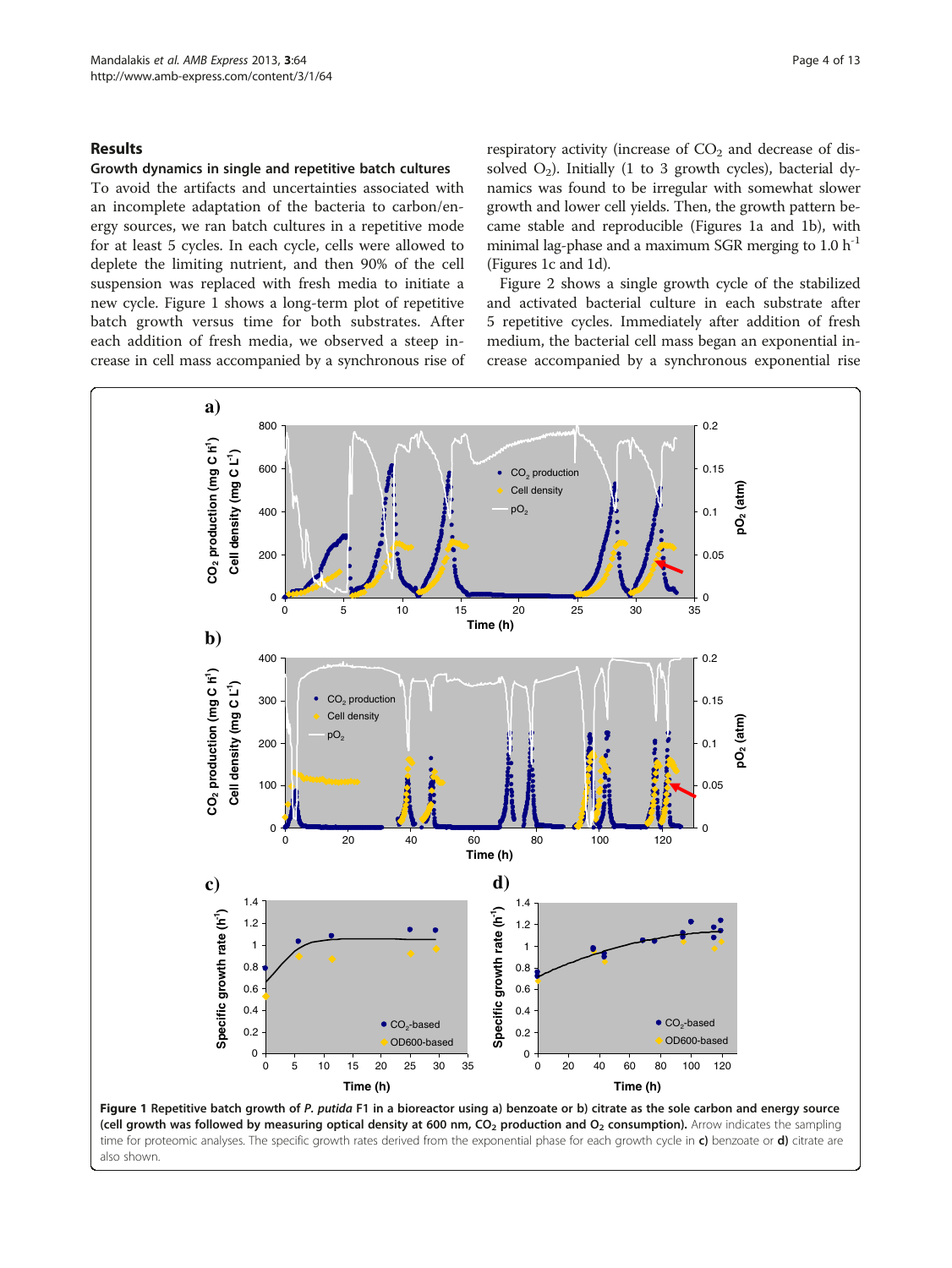## <span id="page-3-0"></span>Results

#### Growth dynamics in single and repetitive batch cultures

To avoid the artifacts and uncertainties associated with an incomplete adaptation of the bacteria to carbon/energy sources, we ran batch cultures in a repetitive mode for at least 5 cycles. In each cycle, cells were allowed to deplete the limiting nutrient, and then 90% of the cell suspension was replaced with fresh media to initiate a new cycle. Figure 1 shows a long-term plot of repetitive batch growth versus time for both substrates. After each addition of fresh media, we observed a steep increase in cell mass accompanied by a synchronous rise of respiratory activity (increase of  $CO<sub>2</sub>$  and decrease of dissolved  $O_2$ ). Initially (1 to 3 growth cycles), bacterial dynamics was found to be irregular with somewhat slower growth and lower cell yields. Then, the growth pattern became stable and reproducible (Figures 1a and 1b), with minimal lag-phase and a maximum SGR merging to  $1.0 h^{-1}$ (Figures 1c and 1d).

Figure [2](#page-4-0) shows a single growth cycle of the stabilized and activated bacterial culture in each substrate after 5 repetitive cycles. Immediately after addition of fresh medium, the bacterial cell mass began an exponential increase accompanied by a synchronous exponential rise



also shown.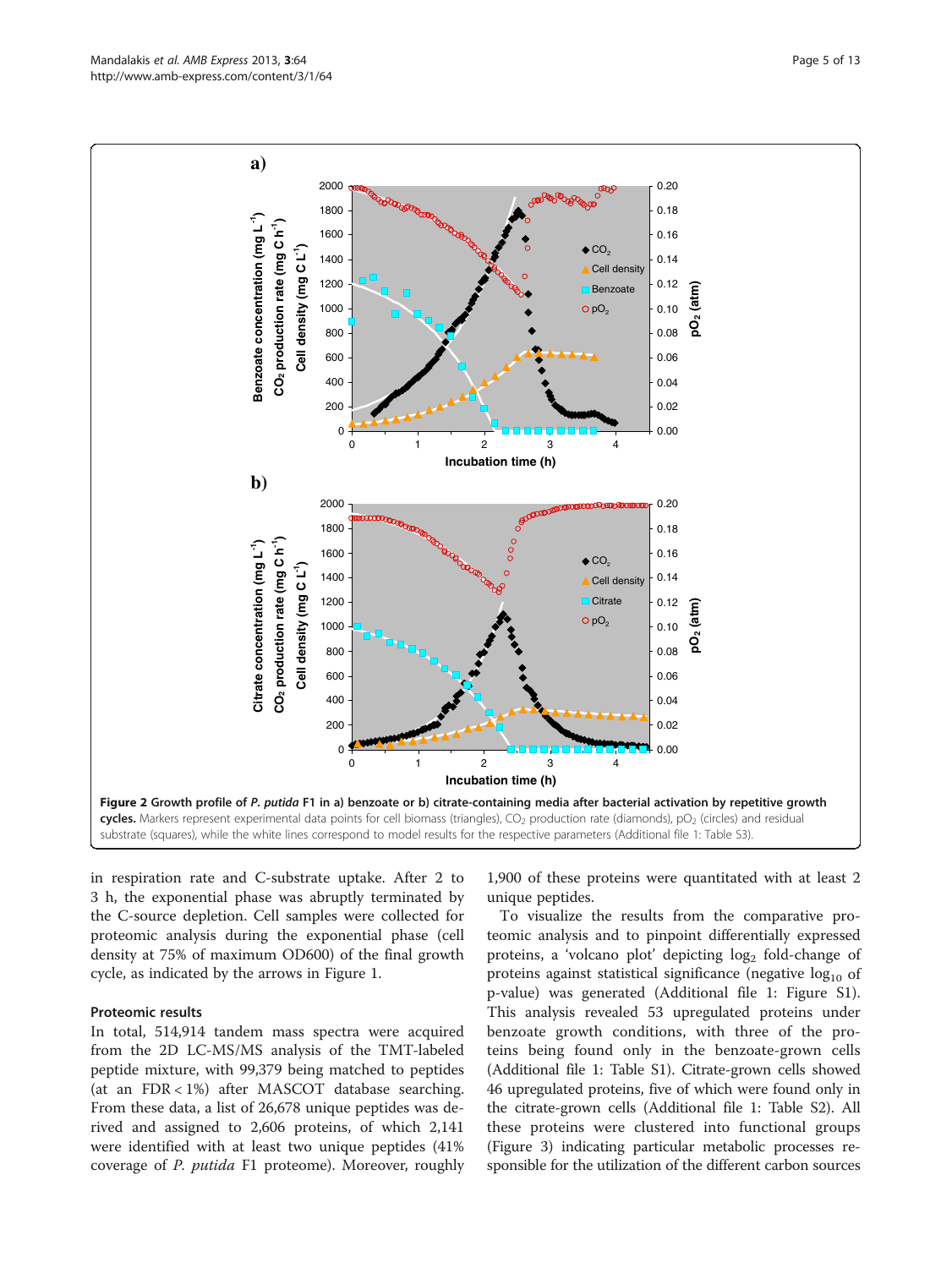<span id="page-4-0"></span>

in respiration rate and C-substrate uptake. After 2 to 3 h, the exponential phase was abruptly terminated by the C-source depletion. Cell samples were collected for proteomic analysis during the exponential phase (cell density at 75% of maximum OD600) of the final growth cycle, as indicated by the arrows in Figure [1.](#page-3-0)

#### Proteomic results

In total, 514,914 tandem mass spectra were acquired from the 2D LC-MS/MS analysis of the TMT-labeled peptide mixture, with 99,379 being matched to peptides (at an FDR < 1%) after MASCOT database searching. From these data, a list of 26,678 unique peptides was derived and assigned to 2,606 proteins, of which 2,141 were identified with at least two unique peptides (41% coverage of P. putida F1 proteome). Moreover, roughly 1,900 of these proteins were quantitated with at least 2 unique peptides.

To visualize the results from the comparative proteomic analysis and to pinpoint differentially expressed proteins, a 'volcano plot' depicting  $log<sub>2</sub>$  fold-change of proteins against statistical significance (negative  $log_{10}$  of p-value) was generated (Additional file [1](#page-10-0): Figure S1). This analysis revealed 53 upregulated proteins under benzoate growth conditions, with three of the proteins being found only in the benzoate-grown cells (Additional file [1](#page-10-0): Table S1). Citrate-grown cells showed 46 upregulated proteins, five of which were found only in the citrate-grown cells (Additional file [1](#page-10-0): Table S2). All these proteins were clustered into functional groups (Figure [3](#page-5-0)) indicating particular metabolic processes responsible for the utilization of the different carbon sources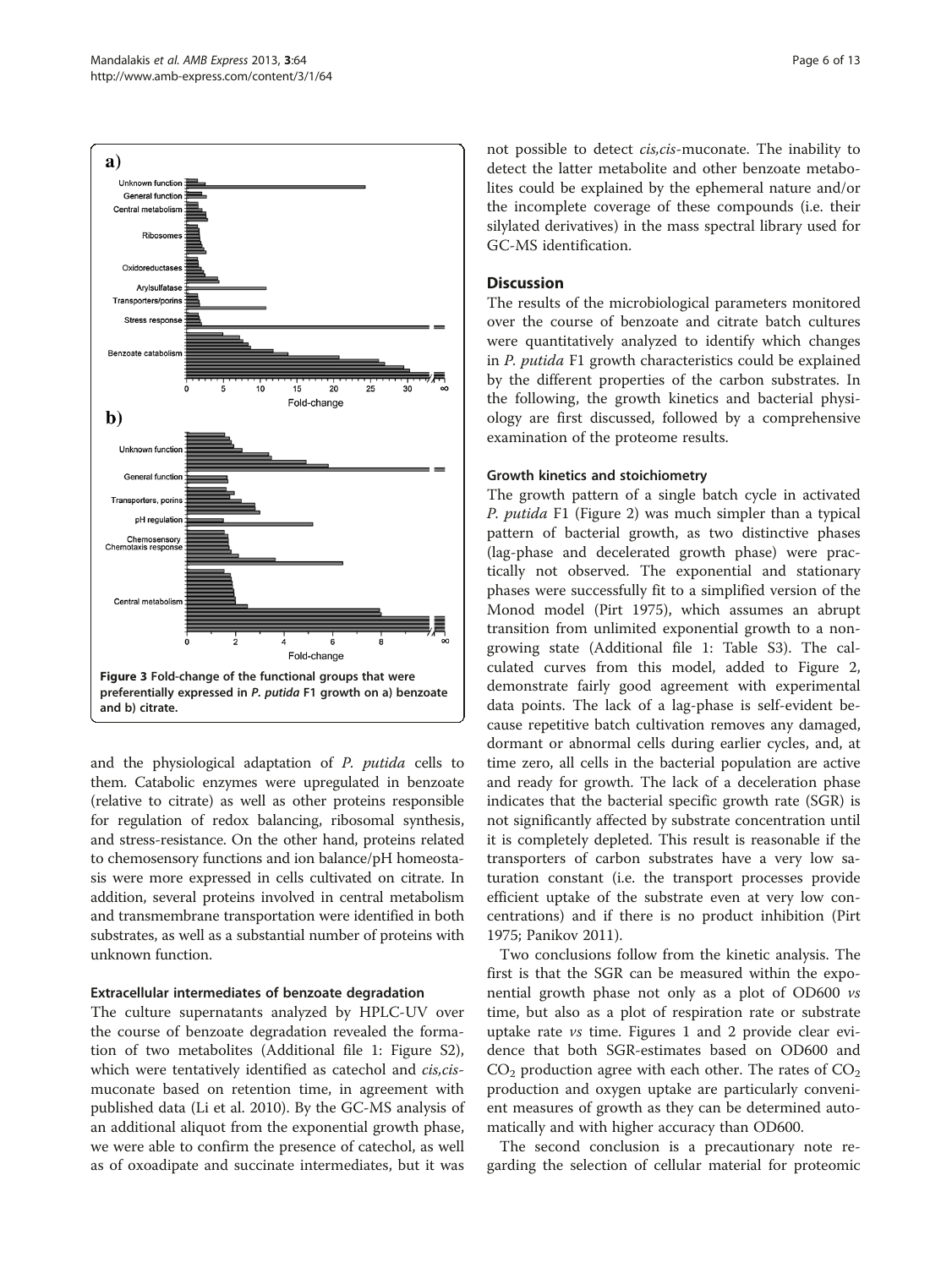<span id="page-5-0"></span>

and the physiological adaptation of P. putida cells to them. Catabolic enzymes were upregulated in benzoate (relative to citrate) as well as other proteins responsible for regulation of redox balancing, ribosomal synthesis, and stress-resistance. On the other hand, proteins related to chemosensory functions and ion balance/pH homeostasis were more expressed in cells cultivated on citrate. In addition, several proteins involved in central metabolism and transmembrane transportation were identified in both substrates, as well as a substantial number of proteins with unknown function.

#### Extracellular intermediates of benzoate degradation

The culture supernatants analyzed by HPLC-UV over the course of benzoate degradation revealed the formation of two metabolites (Additional file [1](#page-10-0): Figure S2), which were tentatively identified as catechol and cis, cismuconate based on retention time, in agreement with published data (Li et al. [2010\)](#page-11-0). By the GC-MS analysis of an additional aliquot from the exponential growth phase, we were able to confirm the presence of catechol, as well as of oxoadipate and succinate intermediates, but it was not possible to detect cis,cis-muconate. The inability to detect the latter metabolite and other benzoate metabolites could be explained by the ephemeral nature and/or the incomplete coverage of these compounds (i.e. their silylated derivatives) in the mass spectral library used for GC-MS identification.

## Discussion

The results of the microbiological parameters monitored over the course of benzoate and citrate batch cultures were quantitatively analyzed to identify which changes in P. putida F1 growth characteristics could be explained by the different properties of the carbon substrates. In the following, the growth kinetics and bacterial physiology are first discussed, followed by a comprehensive examination of the proteome results.

#### Growth kinetics and stoichiometry

The growth pattern of a single batch cycle in activated P. putida F1 (Figure [2\)](#page-4-0) was much simpler than a typical pattern of bacterial growth, as two distinctive phases (lag-phase and decelerated growth phase) were practically not observed. The exponential and stationary phases were successfully fit to a simplified version of the Monod model (Pirt [1975](#page-11-0)), which assumes an abrupt transition from unlimited exponential growth to a nongrowing state (Additional file [1](#page-10-0): Table S3). The calculated curves from this model, added to Figure [2](#page-4-0), demonstrate fairly good agreement with experimental data points. The lack of a lag-phase is self-evident because repetitive batch cultivation removes any damaged, dormant or abnormal cells during earlier cycles, and, at time zero, all cells in the bacterial population are active and ready for growth. The lack of a deceleration phase indicates that the bacterial specific growth rate (SGR) is not significantly affected by substrate concentration until it is completely depleted. This result is reasonable if the transporters of carbon substrates have a very low saturation constant (i.e. the transport processes provide efficient uptake of the substrate even at very low concentrations) and if there is no product inhibition (Pirt [1975](#page-11-0); Panikov [2011](#page-11-0)).

Two conclusions follow from the kinetic analysis. The first is that the SGR can be measured within the exponential growth phase not only as a plot of OD600 vs time, but also as a plot of respiration rate or substrate uptake rate vs time. Figures [1](#page-3-0) and [2](#page-4-0) provide clear evidence that both SGR-estimates based on OD600 and  $CO<sub>2</sub>$  production agree with each other. The rates of  $CO<sub>2</sub>$ production and oxygen uptake are particularly convenient measures of growth as they can be determined automatically and with higher accuracy than OD600.

The second conclusion is a precautionary note regarding the selection of cellular material for proteomic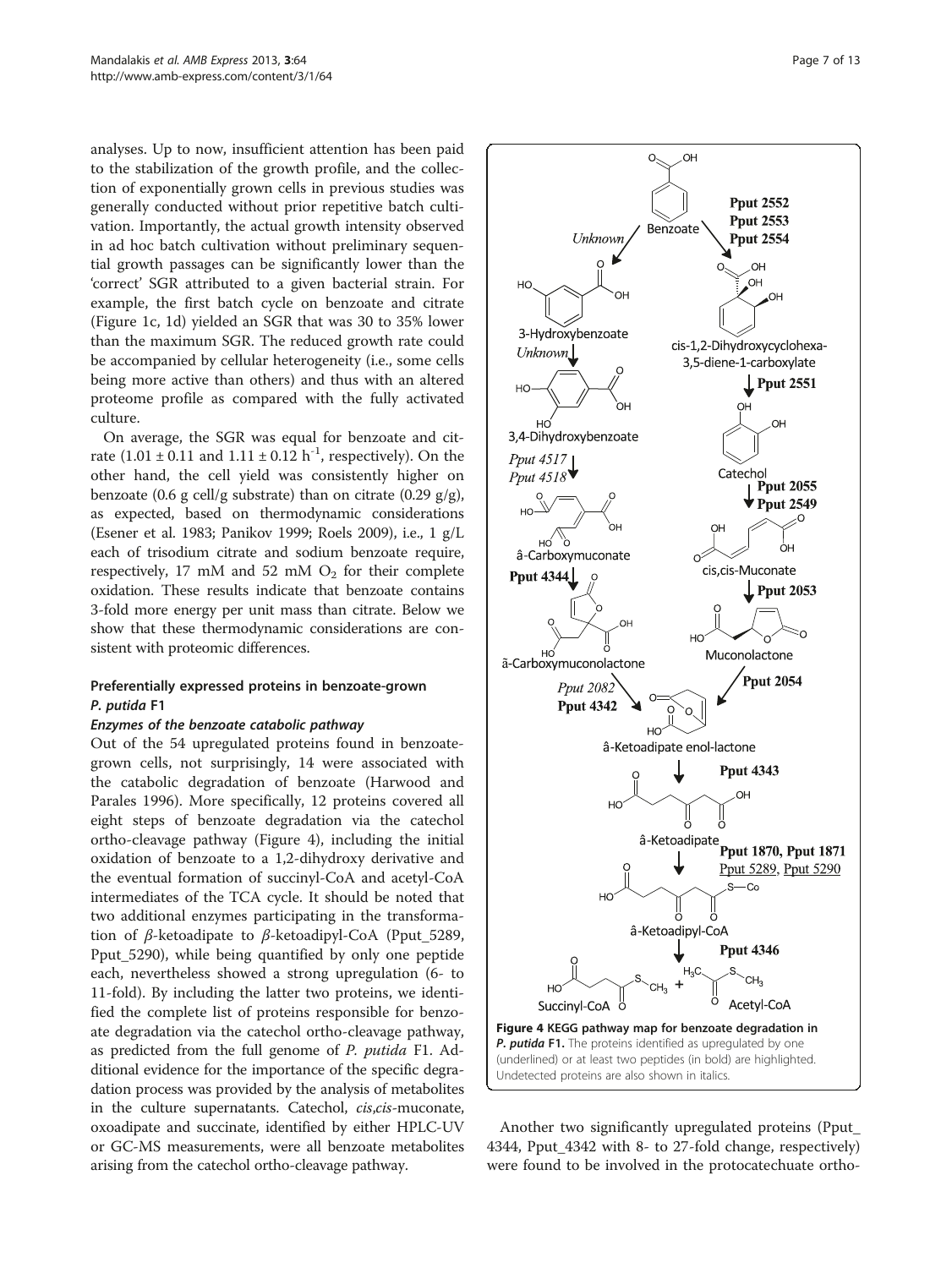<span id="page-6-0"></span>analyses. Up to now, insufficient attention has been paid to the stabilization of the growth profile, and the collection of exponentially grown cells in previous studies was generally conducted without prior repetitive batch cultivation. Importantly, the actual growth intensity observed in ad hoc batch cultivation without preliminary sequential growth passages can be significantly lower than the 'correct' SGR attributed to a given bacterial strain. For example, the first batch cycle on benzoate and citrate (Figure [1c](#page-3-0), [1](#page-3-0)d) yielded an SGR that was 30 to 35% lower than the maximum SGR. The reduced growth rate could be accompanied by cellular heterogeneity (i.e., some cells being more active than others) and thus with an altered proteome profile as compared with the fully activated culture.

On average, the SGR was equal for benzoate and citrate  $(1.01 \pm 0.11$  and  $1.11 \pm 0.12$  h<sup>-1</sup>, respectively). On the other hand, the cell yield was consistently higher on benzoate (0.6 g cell/g substrate) than on citrate (0.29 g/g), as expected, based on thermodynamic considerations (Esener et al. [1983;](#page-11-0) Panikov [1999](#page-11-0); Roels [2009](#page-11-0)), i.e., 1 g/L each of trisodium citrate and sodium benzoate require, respectively, 17 mM and 52 mM  $O_2$  for their complete oxidation. These results indicate that benzoate contains 3-fold more energy per unit mass than citrate. Below we show that these thermodynamic considerations are consistent with proteomic differences.

## Preferentially expressed proteins in benzoate-grown P. putida F1

#### Enzymes of the benzoate catabolic pathway

Out of the 54 upregulated proteins found in benzoategrown cells, not surprisingly, 14 were associated with the catabolic degradation of benzoate (Harwood and Parales [1996\)](#page-11-0). More specifically, 12 proteins covered all eight steps of benzoate degradation via the catechol ortho-cleavage pathway (Figure 4), including the initial oxidation of benzoate to a 1,2-dihydroxy derivative and the eventual formation of succinyl-CoA and acetyl-CoA intermediates of the TCA cycle. It should be noted that two additional enzymes participating in the transformation of β-ketoadipate to β-ketoadipyl-CoA (Pput\_5289, Pput\_5290), while being quantified by only one peptide each, nevertheless showed a strong upregulation (6- to 11-fold). By including the latter two proteins, we identified the complete list of proteins responsible for benzoate degradation via the catechol ortho-cleavage pathway, as predicted from the full genome of P. putida F1. Additional evidence for the importance of the specific degradation process was provided by the analysis of metabolites in the culture supernatants. Catechol, *cis,cis-muconate*, oxoadipate and succinate, identified by either HPLC-UV or GC-MS measurements, were all benzoate metabolites arising from the catechol ortho-cleavage pathway.



Another two significantly upregulated proteins (Pput\_ 4344, Pput\_4342 with 8- to 27-fold change, respectively) were found to be involved in the protocatechuate ortho-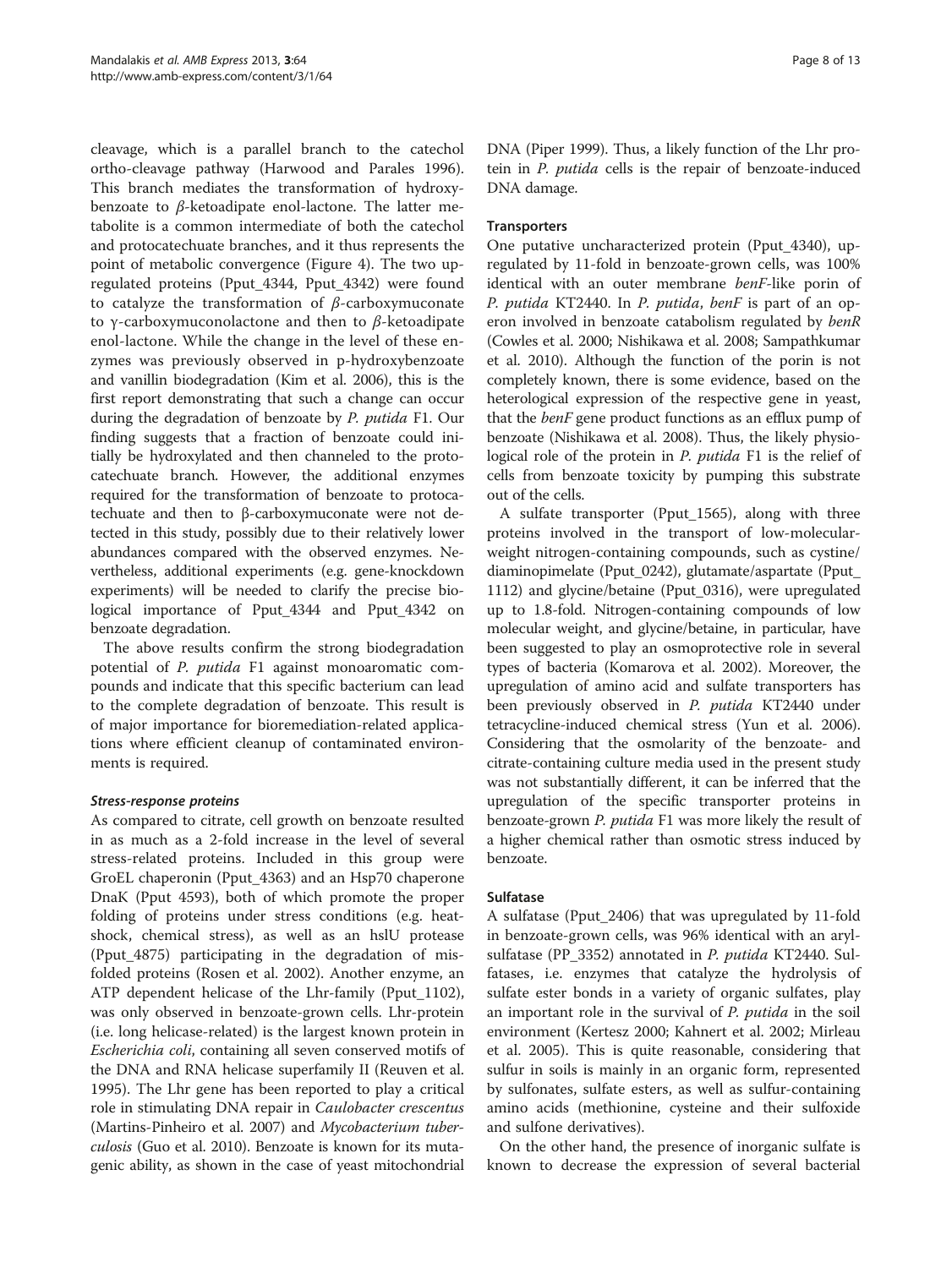cleavage, which is a parallel branch to the catechol ortho-cleavage pathway (Harwood and Parales [1996](#page-11-0)). This branch mediates the transformation of hydroxybenzoate to  $β$ -ketoadipate enol-lactone. The latter metabolite is a common intermediate of both the catechol and protocatechuate branches, and it thus represents the point of metabolic convergence (Figure [4\)](#page-6-0). The two upregulated proteins (Pput\_4344, Pput\_4342) were found to catalyze the transformation of  $\beta$ -carboxymuconate to γ-carboxymuconolactone and then to β-ketoadipate enol-lactone. While the change in the level of these enzymes was previously observed in p-hydroxybenzoate and vanillin biodegradation (Kim et al. [2006](#page-11-0)), this is the first report demonstrating that such a change can occur during the degradation of benzoate by P. putida F1. Our finding suggests that a fraction of benzoate could initially be hydroxylated and then channeled to the protocatechuate branch. However, the additional enzymes required for the transformation of benzoate to protocatechuate and then to β-carboxymuconate were not detected in this study, possibly due to their relatively lower abundances compared with the observed enzymes. Nevertheless, additional experiments (e.g. gene-knockdown experiments) will be needed to clarify the precise biological importance of Pput\_4344 and Pput\_4342 on benzoate degradation.

The above results confirm the strong biodegradation potential of P. putida F1 against monoaromatic compounds and indicate that this specific bacterium can lead to the complete degradation of benzoate. This result is of major importance for bioremediation-related applications where efficient cleanup of contaminated environments is required.

## Stress-response proteins

As compared to citrate, cell growth on benzoate resulted in as much as a 2-fold increase in the level of several stress-related proteins. Included in this group were GroEL chaperonin (Pput\_4363) and an Hsp70 chaperone DnaK (Pput 4593), both of which promote the proper folding of proteins under stress conditions (e.g. heatshock, chemical stress), as well as an hslU protease (Pput\_4875) participating in the degradation of misfolded proteins (Rosen et al. [2002](#page-11-0)). Another enzyme, an ATP dependent helicase of the Lhr-family (Pput\_1102), was only observed in benzoate-grown cells. Lhr-protein (i.e. long helicase-related) is the largest known protein in Escherichia coli, containing all seven conserved motifs of the DNA and RNA helicase superfamily II (Reuven et al. [1995](#page-11-0)). The Lhr gene has been reported to play a critical role in stimulating DNA repair in Caulobacter crescentus (Martins-Pinheiro et al. [2007](#page-11-0)) and Mycobacterium tuberculosis (Guo et al. [2010](#page-11-0)). Benzoate is known for its mutagenic ability, as shown in the case of yeast mitochondrial DNA (Piper [1999](#page-11-0)). Thus, a likely function of the Lhr protein in P. putida cells is the repair of benzoate-induced DNA damage.

## **Transporters**

One putative uncharacterized protein (Pput\_4340), upregulated by 11-fold in benzoate-grown cells, was 100% identical with an outer membrane benF-like porin of P. putida KT2440. In P. putida, benF is part of an operon involved in benzoate catabolism regulated by benR (Cowles et al. [2000](#page-11-0); Nishikawa et al. [2008](#page-11-0); Sampathkumar et al. [2010\)](#page-12-0). Although the function of the porin is not completely known, there is some evidence, based on the heterological expression of the respective gene in yeast, that the *benF* gene product functions as an efflux pump of benzoate (Nishikawa et al. [2008](#page-11-0)). Thus, the likely physiological role of the protein in P. putida F1 is the relief of cells from benzoate toxicity by pumping this substrate out of the cells.

A sulfate transporter (Pput\_1565), along with three proteins involved in the transport of low-molecularweight nitrogen-containing compounds, such as cystine/ diaminopimelate (Pput\_0242), glutamate/aspartate (Pput\_ 1112) and glycine/betaine (Pput\_0316), were upregulated up to 1.8-fold. Nitrogen-containing compounds of low molecular weight, and glycine/betaine, in particular, have been suggested to play an osmoprotective role in several types of bacteria (Komarova et al. [2002](#page-11-0)). Moreover, the upregulation of amino acid and sulfate transporters has been previously observed in P. putida KT2440 under tetracycline-induced chemical stress (Yun et al. [2006](#page-12-0)). Considering that the osmolarity of the benzoate- and citrate-containing culture media used in the present study was not substantially different, it can be inferred that the upregulation of the specific transporter proteins in benzoate-grown P. putida F1 was more likely the result of a higher chemical rather than osmotic stress induced by benzoate.

## Sulfatase

A sulfatase (Pput\_2406) that was upregulated by 11-fold in benzoate-grown cells, was 96% identical with an arylsulfatase (PP\_3352) annotated in P. putida KT2440. Sulfatases, i.e. enzymes that catalyze the hydrolysis of sulfate ester bonds in a variety of organic sulfates, play an important role in the survival of *P. putida* in the soil environment (Kertesz [2000;](#page-11-0) Kahnert et al. [2002](#page-11-0); Mirleau et al. [2005\)](#page-11-0). This is quite reasonable, considering that sulfur in soils is mainly in an organic form, represented by sulfonates, sulfate esters, as well as sulfur-containing amino acids (methionine, cysteine and their sulfoxide and sulfone derivatives).

On the other hand, the presence of inorganic sulfate is known to decrease the expression of several bacterial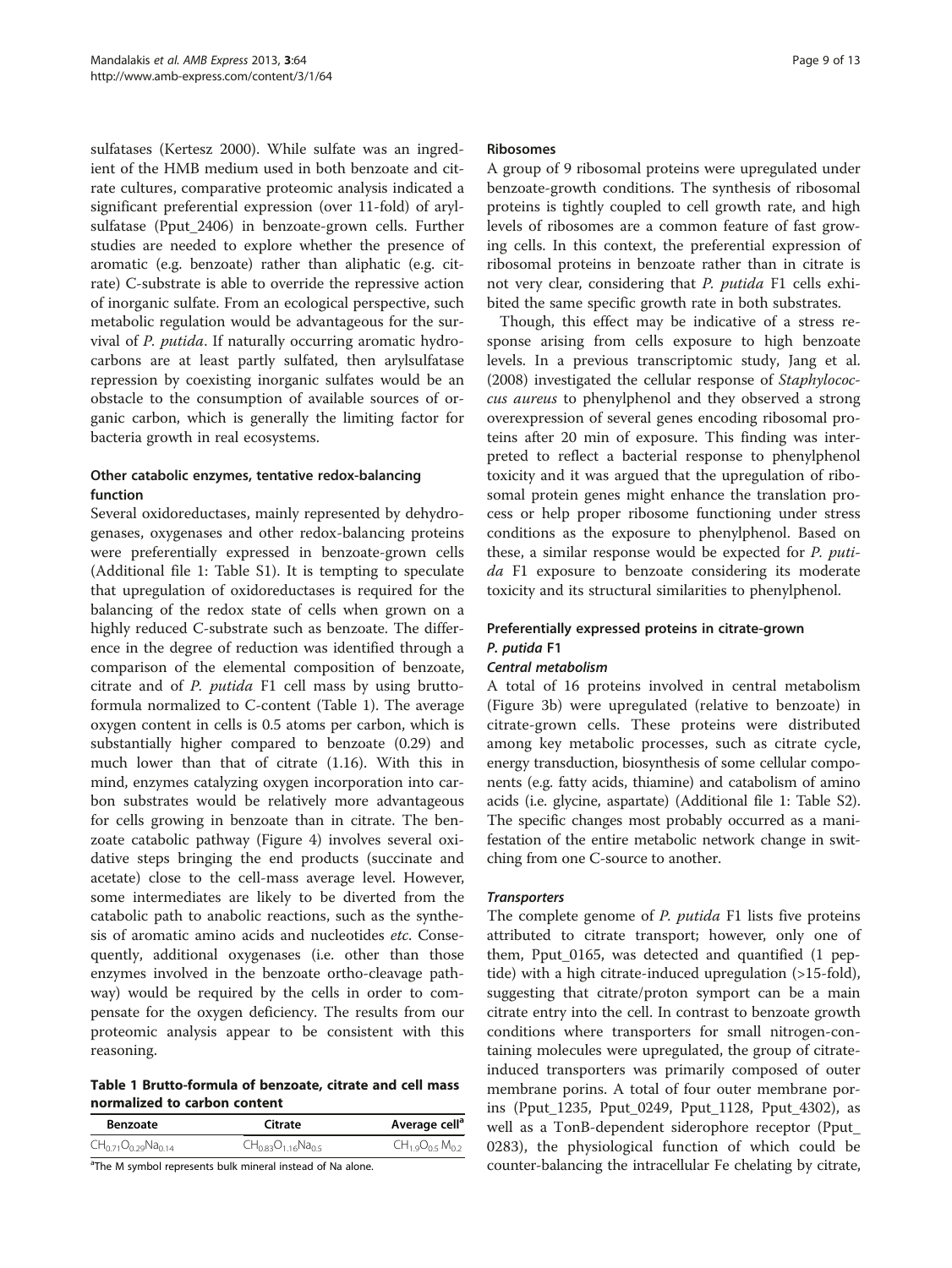sulfatases (Kertesz [2000](#page-11-0)). While sulfate was an ingredient of the HMB medium used in both benzoate and citrate cultures, comparative proteomic analysis indicated a significant preferential expression (over 11-fold) of arylsulfatase (Pput\_2406) in benzoate-grown cells. Further studies are needed to explore whether the presence of aromatic (e.g. benzoate) rather than aliphatic (e.g. citrate) C-substrate is able to override the repressive action of inorganic sulfate. From an ecological perspective, such metabolic regulation would be advantageous for the survival of P. putida. If naturally occurring aromatic hydrocarbons are at least partly sulfated, then arylsulfatase repression by coexisting inorganic sulfates would be an obstacle to the consumption of available sources of organic carbon, which is generally the limiting factor for bacteria growth in real ecosystems.

## Other catabolic enzymes, tentative redox-balancing function

Several oxidoreductases, mainly represented by dehydrogenases, oxygenases and other redox-balancing proteins were preferentially expressed in benzoate-grown cells (Additional file [1](#page-10-0): Table S1). It is tempting to speculate that upregulation of oxidoreductases is required for the balancing of the redox state of cells when grown on a highly reduced C-substrate such as benzoate. The difference in the degree of reduction was identified through a comparison of the elemental composition of benzoate, citrate and of P. putida F1 cell mass by using bruttoformula normalized to C-content (Table 1). The average oxygen content in cells is 0.5 atoms per carbon, which is substantially higher compared to benzoate (0.29) and much lower than that of citrate (1.16). With this in mind, enzymes catalyzing oxygen incorporation into carbon substrates would be relatively more advantageous for cells growing in benzoate than in citrate. The benzoate catabolic pathway (Figure [4](#page-6-0)) involves several oxidative steps bringing the end products (succinate and acetate) close to the cell-mass average level. However, some intermediates are likely to be diverted from the catabolic path to anabolic reactions, such as the synthesis of aromatic amino acids and nucleotides etc. Consequently, additional oxygenases (i.e. other than those enzymes involved in the benzoate ortho-cleavage pathway) would be required by the cells in order to compensate for the oxygen deficiency. The results from our proteomic analysis appear to be consistent with this reasoning.

## Table 1 Brutto-formula of benzoate, citrate and cell mass normalized to carbon content

| Benzoate                     | Citrate                     | Average cell <sup>a</sup> |
|------------------------------|-----------------------------|---------------------------|
| $CH_{0.71}O_{0.29}Na_{0.14}$ | $CH_{0.83}O_{1.16}Na_{0.5}$ | $CH_{1.9}O_{0.5}M_{0.2}$  |

<sup>a</sup>The M symbol represents bulk mineral instead of Na alone.

## Ribosomes

A group of 9 ribosomal proteins were upregulated under benzoate-growth conditions. The synthesis of ribosomal proteins is tightly coupled to cell growth rate, and high levels of ribosomes are a common feature of fast growing cells. In this context, the preferential expression of ribosomal proteins in benzoate rather than in citrate is not very clear, considering that P. putida F1 cells exhibited the same specific growth rate in both substrates.

Though, this effect may be indicative of a stress response arising from cells exposure to high benzoate levels. In a previous transcriptomic study, Jang et al. ([2008\)](#page-11-0) investigated the cellular response of Staphylococcus aureus to phenylphenol and they observed a strong overexpression of several genes encoding ribosomal proteins after 20 min of exposure. This finding was interpreted to reflect a bacterial response to phenylphenol toxicity and it was argued that the upregulation of ribosomal protein genes might enhance the translation process or help proper ribosome functioning under stress conditions as the exposure to phenylphenol. Based on these, a similar response would be expected for P. putida F1 exposure to benzoate considering its moderate toxicity and its structural similarities to phenylphenol.

## Preferentially expressed proteins in citrate-grown P. putida F1

#### Central metabolism

A total of 16 proteins involved in central metabolism (Figure [3b](#page-5-0)) were upregulated (relative to benzoate) in citrate-grown cells. These proteins were distributed among key metabolic processes, such as citrate cycle, energy transduction, biosynthesis of some cellular components (e.g. fatty acids, thiamine) and catabolism of amino acids (i.e. glycine, aspartate) (Additional file [1](#page-10-0): Table S2). The specific changes most probably occurred as a manifestation of the entire metabolic network change in switching from one C-source to another.

## **Transporters**

The complete genome of *P. putida* F1 lists five proteins attributed to citrate transport; however, only one of them, Pput\_0165, was detected and quantified (1 peptide) with a high citrate-induced upregulation (>15-fold), suggesting that citrate/proton symport can be a main citrate entry into the cell. In contrast to benzoate growth conditions where transporters for small nitrogen-containing molecules were upregulated, the group of citrateinduced transporters was primarily composed of outer membrane porins. A total of four outer membrane porins (Pput\_1235, Pput\_0249, Pput\_1128, Pput\_4302), as well as a TonB-dependent siderophore receptor (Pput\_ 0283), the physiological function of which could be counter-balancing the intracellular Fe chelating by citrate,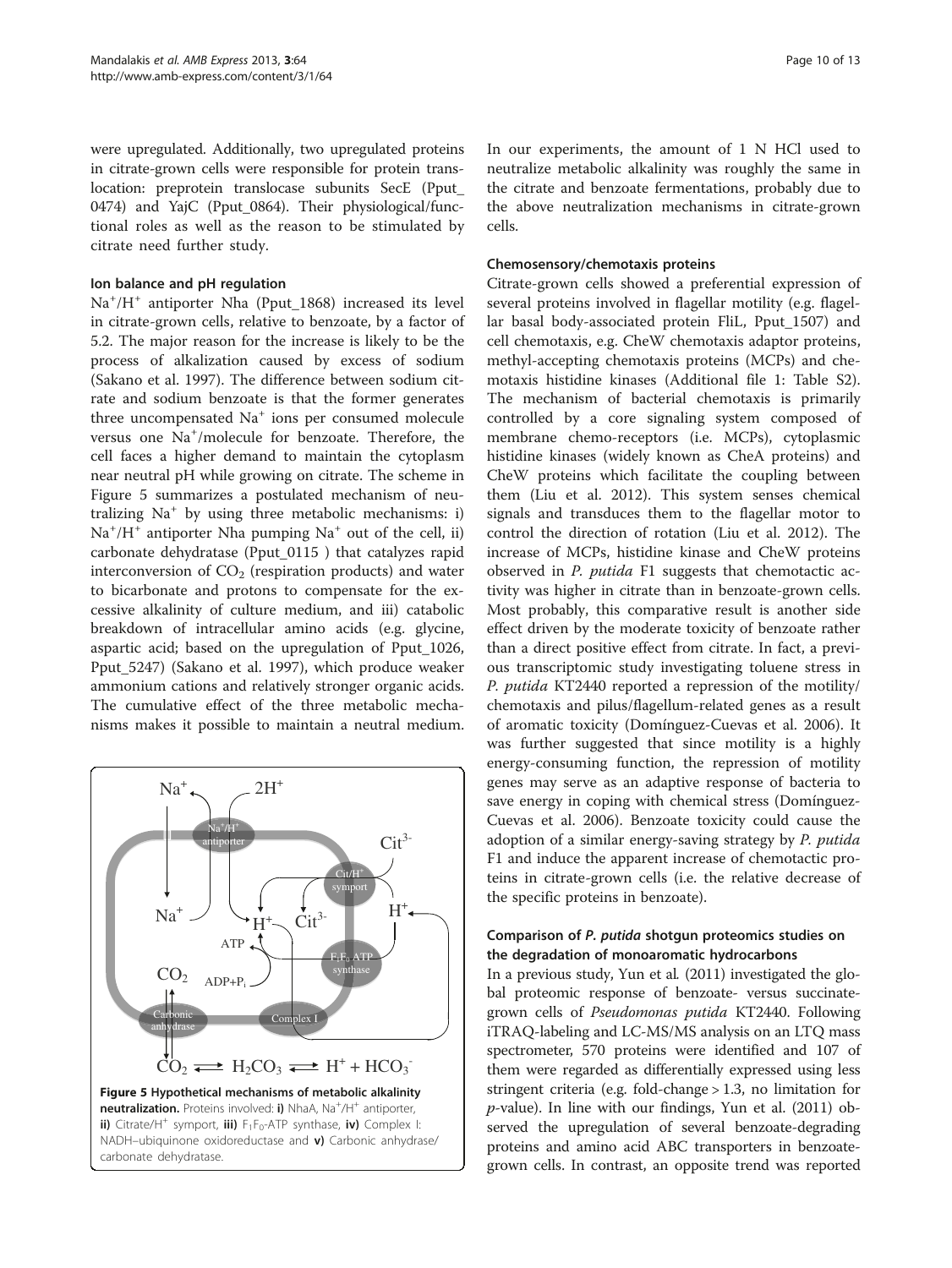were upregulated. Additionally, two upregulated proteins in citrate-grown cells were responsible for protein translocation: preprotein translocase subunits SecE (Pput\_ 0474) and YajC (Pput\_0864). Their physiological/functional roles as well as the reason to be stimulated by citrate need further study.

## Ion balance and pH regulation

Na<sup>+</sup>/H<sup>+</sup> antiporter Nha (Pput\_1868) increased its level in citrate-grown cells, relative to benzoate, by a factor of 5.2. The major reason for the increase is likely to be the process of alkalization caused by excess of sodium (Sakano et al. [1997](#page-11-0)). The difference between sodium citrate and sodium benzoate is that the former generates three uncompensated Na<sup>+</sup> ions per consumed molecule versus one Na<sup>+</sup>/molecule for benzoate. Therefore, the cell faces a higher demand to maintain the cytoplasm near neutral pH while growing on citrate. The scheme in Figure 5 summarizes a postulated mechanism of neutralizing Na<sup>+</sup> by using three metabolic mechanisms: i) Na<sup>+</sup>/H<sup>+</sup> antiporter Nha pumping Na<sup>+</sup> out of the cell, ii) carbonate dehydratase (Pput\_0115 ) that catalyzes rapid interconversion of  $CO<sub>2</sub>$  (respiration products) and water to bicarbonate and protons to compensate for the excessive alkalinity of culture medium, and iii) catabolic breakdown of intracellular amino acids (e.g. glycine, aspartic acid; based on the upregulation of Pput\_1026, Pput\_5247) (Sakano et al. [1997](#page-11-0)), which produce weaker ammonium cations and relatively stronger organic acids. The cumulative effect of the three metabolic mechanisms makes it possible to maintain a neutral medium.



In our experiments, the amount of 1 N HCl used to neutralize metabolic alkalinity was roughly the same in the citrate and benzoate fermentations, probably due to the above neutralization mechanisms in citrate-grown cells.

#### Chemosensory/chemotaxis proteins

Citrate-grown cells showed a preferential expression of several proteins involved in flagellar motility (e.g. flagellar basal body-associated protein FliL, Pput\_1507) and cell chemotaxis, e.g. CheW chemotaxis adaptor proteins, methyl-accepting chemotaxis proteins (MCPs) and chemotaxis histidine kinases (Additional file [1](#page-10-0): Table S2). The mechanism of bacterial chemotaxis is primarily controlled by a core signaling system composed of membrane chemo-receptors (i.e. MCPs), cytoplasmic histidine kinases (widely known as CheA proteins) and CheW proteins which facilitate the coupling between them (Liu et al. [2012](#page-11-0)). This system senses chemical signals and transduces them to the flagellar motor to control the direction of rotation (Liu et al. [2012\)](#page-11-0). The increase of MCPs, histidine kinase and CheW proteins observed in P. putida F1 suggests that chemotactic activity was higher in citrate than in benzoate-grown cells. Most probably, this comparative result is another side effect driven by the moderate toxicity of benzoate rather than a direct positive effect from citrate. In fact, a previous transcriptomic study investigating toluene stress in P. putida KT2440 reported a repression of the motility/ chemotaxis and pilus/flagellum-related genes as a result of aromatic toxicity (Domínguez-Cuevas et al. [2006\)](#page-11-0). It was further suggested that since motility is a highly energy-consuming function, the repression of motility genes may serve as an adaptive response of bacteria to save energy in coping with chemical stress (Domínguez-Cuevas et al. [2006\)](#page-11-0). Benzoate toxicity could cause the adoption of a similar energy-saving strategy by P. putida F1 and induce the apparent increase of chemotactic proteins in citrate-grown cells (i.e. the relative decrease of the specific proteins in benzoate).

## Comparison of P. putida shotgun proteomics studies on the degradation of monoaromatic hydrocarbons

In a previous study, Yun et al. ([2011\)](#page-12-0) investigated the global proteomic response of benzoate- versus succinategrown cells of Pseudomonas putida KT2440. Following iTRAQ-labeling and LC-MS/MS analysis on an LTQ mass spectrometer, 570 proteins were identified and 107 of them were regarded as differentially expressed using less stringent criteria (e.g. fold-change > 1.3, no limitation for  $p$ -value). In line with our findings, Yun et al. ([2011\)](#page-12-0) observed the upregulation of several benzoate-degrading proteins and amino acid ABC transporters in benzoategrown cells. In contrast, an opposite trend was reported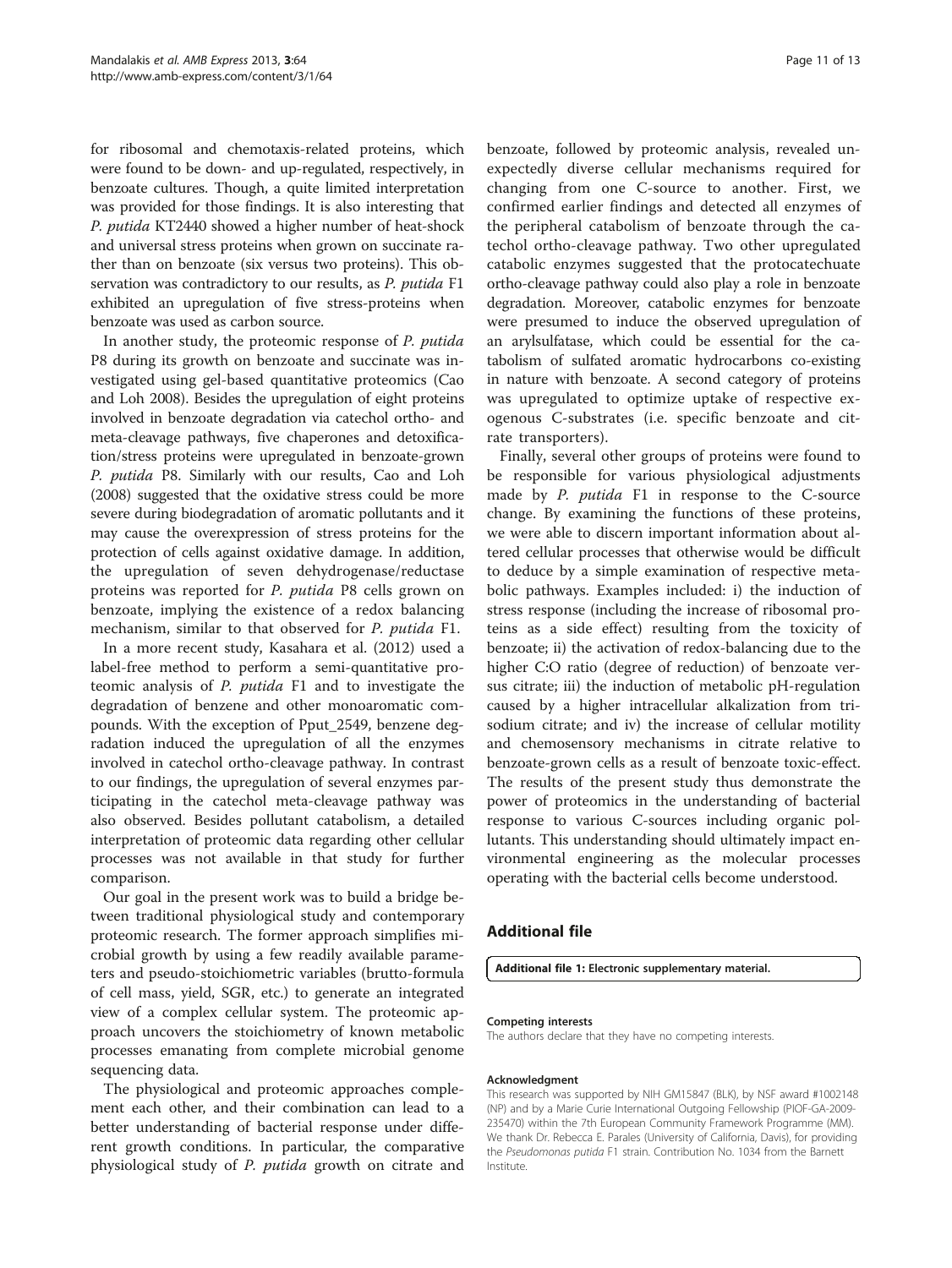<span id="page-10-0"></span>for ribosomal and chemotaxis-related proteins, which were found to be down- and up-regulated, respectively, in benzoate cultures. Though, a quite limited interpretation was provided for those findings. It is also interesting that P. putida KT2440 showed a higher number of heat-shock and universal stress proteins when grown on succinate rather than on benzoate (six versus two proteins). This observation was contradictory to our results, as P. putida F1 exhibited an upregulation of five stress-proteins when benzoate was used as carbon source.

In another study, the proteomic response of P. putida P8 during its growth on benzoate and succinate was investigated using gel-based quantitative proteomics (Cao and Loh [2008\)](#page-11-0). Besides the upregulation of eight proteins involved in benzoate degradation via catechol ortho- and meta-cleavage pathways, five chaperones and detoxification/stress proteins were upregulated in benzoate-grown P. putida P8. Similarly with our results, Cao and Loh ([2008](#page-11-0)) suggested that the oxidative stress could be more severe during biodegradation of aromatic pollutants and it may cause the overexpression of stress proteins for the protection of cells against oxidative damage. In addition, the upregulation of seven dehydrogenase/reductase proteins was reported for P. putida P8 cells grown on benzoate, implying the existence of a redox balancing mechanism, similar to that observed for P. putida F1.

In a more recent study, Kasahara et al. ([2012](#page-11-0)) used a label-free method to perform a semi-quantitative proteomic analysis of P. putida F1 and to investigate the degradation of benzene and other monoaromatic compounds. With the exception of Pput\_2549, benzene degradation induced the upregulation of all the enzymes involved in catechol ortho-cleavage pathway. In contrast to our findings, the upregulation of several enzymes participating in the catechol meta-cleavage pathway was also observed. Besides pollutant catabolism, a detailed interpretation of proteomic data regarding other cellular processes was not available in that study for further comparison.

Our goal in the present work was to build a bridge between traditional physiological study and contemporary proteomic research. The former approach simplifies microbial growth by using a few readily available parameters and pseudo-stoichiometric variables (brutto-formula of cell mass, yield, SGR, etc.) to generate an integrated view of a complex cellular system. The proteomic approach uncovers the stoichiometry of known metabolic processes emanating from complete microbial genome sequencing data.

The physiological and proteomic approaches complement each other, and their combination can lead to a better understanding of bacterial response under different growth conditions. In particular, the comparative physiological study of P. putida growth on citrate and

benzoate, followed by proteomic analysis, revealed unexpectedly diverse cellular mechanisms required for changing from one C-source to another. First, we confirmed earlier findings and detected all enzymes of the peripheral catabolism of benzoate through the catechol ortho-cleavage pathway. Two other upregulated catabolic enzymes suggested that the protocatechuate ortho-cleavage pathway could also play a role in benzoate degradation. Moreover, catabolic enzymes for benzoate were presumed to induce the observed upregulation of an arylsulfatase, which could be essential for the catabolism of sulfated aromatic hydrocarbons co-existing in nature with benzoate. A second category of proteins was upregulated to optimize uptake of respective exogenous C-substrates (i.e. specific benzoate and citrate transporters).

Finally, several other groups of proteins were found to be responsible for various physiological adjustments made by P. putida F1 in response to the C-source change. By examining the functions of these proteins, we were able to discern important information about altered cellular processes that otherwise would be difficult to deduce by a simple examination of respective metabolic pathways. Examples included: i) the induction of stress response (including the increase of ribosomal proteins as a side effect) resulting from the toxicity of benzoate; ii) the activation of redox-balancing due to the higher C:O ratio (degree of reduction) of benzoate versus citrate; iii) the induction of metabolic pH-regulation caused by a higher intracellular alkalization from trisodium citrate; and iv) the increase of cellular motility and chemosensory mechanisms in citrate relative to benzoate-grown cells as a result of benzoate toxic-effect. The results of the present study thus demonstrate the power of proteomics in the understanding of bacterial response to various C-sources including organic pollutants. This understanding should ultimately impact environmental engineering as the molecular processes operating with the bacterial cells become understood.

## Additional file

[Additional file 1:](http://www.biomedcentral.com/content/supplementary/2191-0855-3-64-S1.doc) Electronic supplementary material.

#### Competing interests

The authors declare that they have no competing interests.

#### Acknowledgment

This research was supported by NIH GM15847 (BLK), by NSF award #1002148 (NP) and by a Marie Curie International Outgoing Fellowship (PIOF-GA-2009- 235470) within the 7th European Community Framework Programme (MM). We thank Dr. Rebecca E. Parales (University of California, Davis), for providing the Pseudomonas putida F1 strain. Contribution No. 1034 from the Barnett Institute.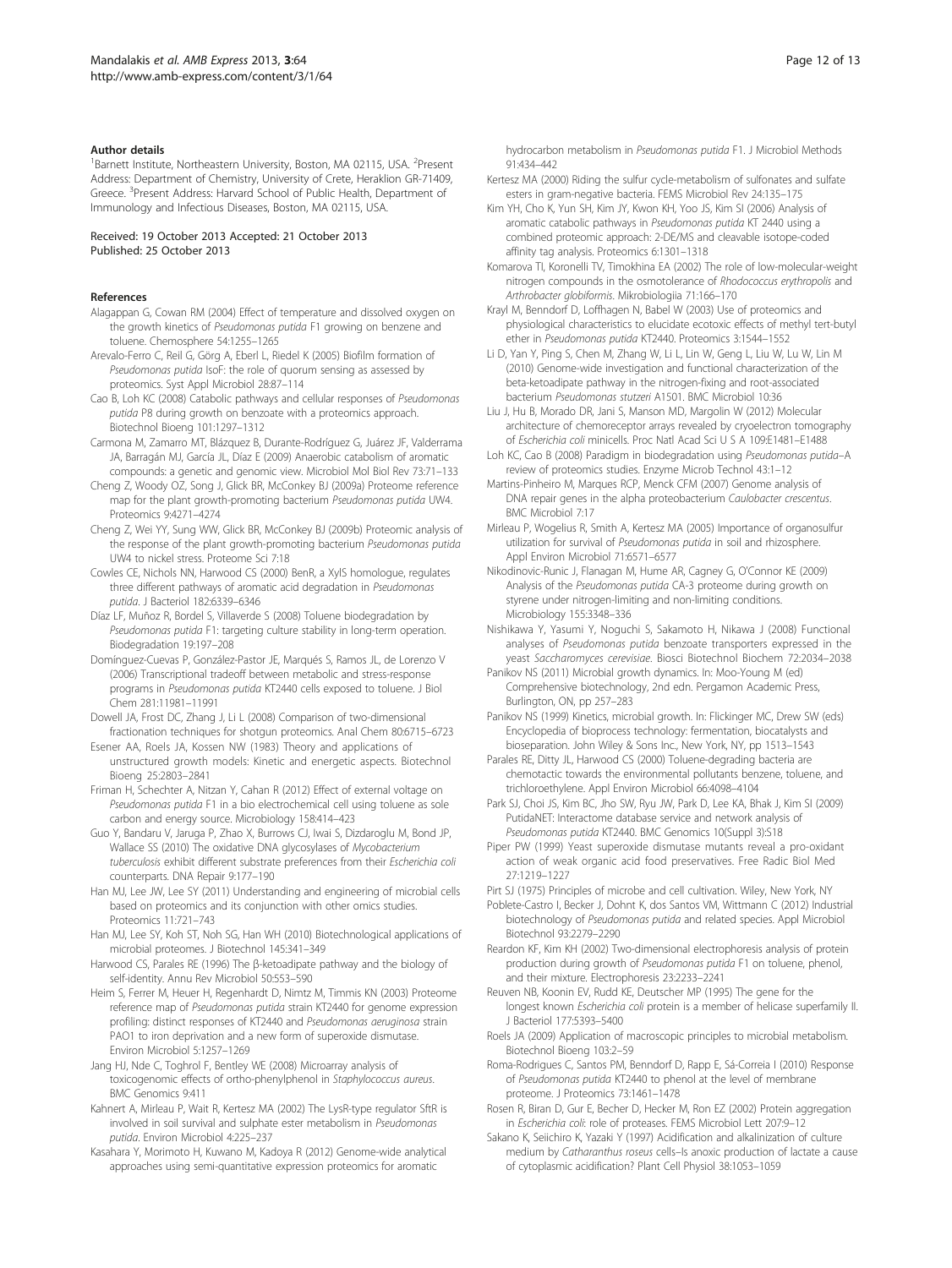#### <span id="page-11-0"></span>Author details

<sup>1</sup>Barnett Institute, Northeastern University, Boston, MA 02115, USA. <sup>2</sup>Present Address: Department of Chemistry, University of Crete, Heraklion GR-71409, Greece. <sup>3</sup>Present Address: Harvard School of Public Health, Department of Immunology and Infectious Diseases, Boston, MA 02115, USA.

Received: 19 October 2013 Accepted: 21 October 2013 Published: 25 October 2013

#### References

- Alagappan G, Cowan RM (2004) Effect of temperature and dissolved oxygen on the growth kinetics of Pseudomonas putida F1 growing on benzene and toluene. Chemosphere 54:1255–1265
- Arevalo-Ferro C, Reil G, Görg A, Eberl L, Riedel K (2005) Biofilm formation of Pseudomonas putida IsoF: the role of quorum sensing as assessed by proteomics. Syst Appl Microbiol 28:87–114
- Cao B, Loh KC (2008) Catabolic pathways and cellular responses of Pseudomonas putida P8 during growth on benzoate with a proteomics approach. Biotechnol Bioeng 101:1297–1312
- Carmona M, Zamarro MT, Blázquez B, Durante-Rodríguez G, Juárez JF, Valderrama JA, Barragán MJ, García JL, Díaz E (2009) Anaerobic catabolism of aromatic compounds: a genetic and genomic view. Microbiol Mol Biol Rev 73:71–133
- Cheng Z, Woody OZ, Song J, Glick BR, McConkey BJ (2009a) Proteome reference map for the plant growth-promoting bacterium Pseudomonas putida UW4. Proteomics 9:4271–4274
- Cheng Z, Wei YY, Sung WW, Glick BR, McConkey BJ (2009b) Proteomic analysis of the response of the plant growth-promoting bacterium Pseudomonas putida UW4 to nickel stress. Proteome Sci 7:18
- Cowles CE, Nichols NN, Harwood CS (2000) BenR, a XylS homologue, regulates three different pathways of aromatic acid degradation in Pseudomonas putida. J Bacteriol 182:6339–6346
- Díaz LF, Muñoz R, Bordel S, Villaverde S (2008) Toluene biodegradation by Pseudomonas putida F1: targeting culture stability in long-term operation. Biodegradation 19:197–208
- Domínguez-Cuevas P, González-Pastor JE, Marqués S, Ramos JL, de Lorenzo V (2006) Transcriptional tradeoff between metabolic and stress-response programs in Pseudomonas putida KT2440 cells exposed to toluene. J Biol Chem 281:11981–11991
- Dowell JA, Frost DC, Zhang J, Li L (2008) Comparison of two-dimensional fractionation techniques for shotgun proteomics. Anal Chem 80:6715–6723
- Esener AA, Roels JA, Kossen NW (1983) Theory and applications of unstructured growth models: Kinetic and energetic aspects. Biotechnol Bioeng 25:2803–2841
- Friman H, Schechter A, Nitzan Y, Cahan R (2012) Effect of external voltage on Pseudomonas putida F1 in a bio electrochemical cell using toluene as sole carbon and energy source. Microbiology 158:414–423
- Guo Y, Bandaru V, Jaruga P, Zhao X, Burrows CJ, Iwai S, Dizdaroglu M, Bond JP, Wallace SS (2010) The oxidative DNA glycosylases of Mycobacterium tuberculosis exhibit different substrate preferences from their Escherichia coli counterparts. DNA Repair 9:177–190
- Han MJ, Lee JW, Lee SY (2011) Understanding and engineering of microbial cells based on proteomics and its conjunction with other omics studies. Proteomics 11:721–743
- Han MJ, Lee SY, Koh ST, Noh SG, Han WH (2010) Biotechnological applications of microbial proteomes. J Biotechnol 145:341–349
- Harwood CS, Parales RE (1996) The β-ketoadipate pathway and the biology of self-identity. Annu Rev Microbiol 50:553–590
- Heim S, Ferrer M, Heuer H, Regenhardt D, Nimtz M, Timmis KN (2003) Proteome reference map of Pseudomonas putida strain KT2440 for genome expression profiling: distinct responses of KT2440 and Pseudomonas aeruginosa strain PAO1 to iron deprivation and a new form of superoxide dismutase. Environ Microbiol 5:1257–1269
- Jang HJ, Nde C, Toghrol F, Bentley WE (2008) Microarray analysis of toxicogenomic effects of ortho-phenylphenol in Staphylococcus aureus. BMC Genomics 9:411
- Kahnert A, Mirleau P, Wait R, Kertesz MA (2002) The LysR-type regulator SftR is involved in soil survival and sulphate ester metabolism in Pseudomonas putida. Environ Microbiol 4:225–237
- Kasahara Y, Morimoto H, Kuwano M, Kadoya R (2012) Genome-wide analytical approaches using semi-quantitative expression proteomics for aromatic

hydrocarbon metabolism in Pseudomonas putida F1. J Microbiol Methods 91:434–442

- Kertesz MA (2000) Riding the sulfur cycle-metabolism of sulfonates and sulfate esters in gram-negative bacteria. FEMS Microbiol Rev 24:135–175
- Kim YH, Cho K, Yun SH, Kim JY, Kwon KH, Yoo JS, Kim SI (2006) Analysis of aromatic catabolic pathways in Pseudomonas putida KT 2440 using a combined proteomic approach: 2-DE/MS and cleavable isotope-coded affinity tag analysis. Proteomics 6:1301–1318
- Komarova TI, Koronelli TV, Timokhina EA (2002) The role of low-molecular-weight nitrogen compounds in the osmotolerance of Rhodococcus erythropolis and Arthrobacter globiformis. Mikrobiologiia 71:166–170
- Krayl M, Benndorf D, Loffhagen N, Babel W (2003) Use of proteomics and physiological characteristics to elucidate ecotoxic effects of methyl tert-butyl ether in Pseudomonas putida KT2440. Proteomics 3:1544–1552
- Li D, Yan Y, Ping S, Chen M, Zhang W, Li L, Lin W, Geng L, Liu W, Lu W, Lin M (2010) Genome-wide investigation and functional characterization of the beta-ketoadipate pathway in the nitrogen-fixing and root-associated bacterium Pseudomonas stutzeri A1501. BMC Microbiol 10:36
- Liu J, Hu B, Morado DR, Jani S, Manson MD, Margolin W (2012) Molecular architecture of chemoreceptor arrays revealed by cryoelectron tomography of Escherichia coli minicells. Proc Natl Acad Sci U S A 109:E1481–E1488
- Loh KC, Cao B (2008) Paradigm in biodegradation using Pseudomonas putida–A review of proteomics studies. Enzyme Microb Technol 43:1–12
- Martins-Pinheiro M, Marques RCP, Menck CFM (2007) Genome analysis of DNA repair genes in the alpha proteobacterium Caulobacter crescentus. BMC Microbiol 7:17
- Mirleau P, Wogelius R, Smith A, Kertesz MA (2005) Importance of organosulfur utilization for survival of Pseudomonas putida in soil and rhizosphere. Appl Environ Microbiol 71:6571–6577
- Nikodinovic-Runic J, Flanagan M, Hume AR, Cagney G, O'Connor KE (2009) Analysis of the Pseudomonas putida CA-3 proteome during growth on styrene under nitrogen-limiting and non-limiting conditions. Microbiology 155:3348–336
- Nishikawa Y, Yasumi Y, Noguchi S, Sakamoto H, Nikawa J (2008) Functional analyses of Pseudomonas putida benzoate transporters expressed in the yeast Saccharomyces cerevisiae. Biosci Biotechnol Biochem 72:2034–2038
- Panikov NS (2011) Microbial growth dynamics. In: Moo-Young M (ed) Comprehensive biotechnology, 2nd edn. Pergamon Academic Press, Burlington, ON, pp 257–283
- Panikov NS (1999) Kinetics, microbial growth. In: Flickinger MC, Drew SW (eds) Encyclopedia of bioprocess technology: fermentation, biocatalysts and bioseparation. John Wiley & Sons Inc., New York, NY, pp 1513–1543
- Parales RE, Ditty JL, Harwood CS (2000) Toluene-degrading bacteria are chemotactic towards the environmental pollutants benzene, toluene, and trichloroethylene. Appl Environ Microbiol 66:4098–4104
- Park SJ, Choi JS, Kim BC, Jho SW, Ryu JW, Park D, Lee KA, Bhak J, Kim SI (2009) PutidaNET: Interactome database service and network analysis of Pseudomonas putida KT2440. BMC Genomics 10(Suppl 3):S18
- Piper PW (1999) Yeast superoxide dismutase mutants reveal a pro-oxidant action of weak organic acid food preservatives. Free Radic Biol Med 27:1219–1227
- Pirt SJ (1975) Principles of microbe and cell cultivation. Wiley, New York, NY
- Poblete-Castro I, Becker J, Dohnt K, dos Santos VM, Wittmann C (2012) Industrial biotechnology of Pseudomonas putida and related species. Appl Microbiol Biotechnol 93:2279–2290
- Reardon KF, Kim KH (2002) Two-dimensional electrophoresis analysis of protein production during growth of Pseudomonas putida F1 on toluene, phenol, and their mixture. Electrophoresis 23:2233–2241
- Reuven NB, Koonin EV, Rudd KE, Deutscher MP (1995) The gene for the longest known Escherichia coli protein is a member of helicase superfamily II. J Bacteriol 177:5393–5400
- Roels JA (2009) Application of macroscopic principles to microbial metabolism. Biotechnol Bioeng 103:2–59
- Roma-Rodrigues C, Santos PM, Benndorf D, Rapp E, Sá-Correia I (2010) Response of Pseudomonas putida KT2440 to phenol at the level of membrane proteome. J Proteomics 73:1461–1478
- Rosen R, Biran D, Gur E, Becher D, Hecker M, Ron EZ (2002) Protein aggregation in Escherichia coli: role of proteases. FEMS Microbiol Lett 207:9–12
- Sakano K, Seiichiro K, Yazaki Y (1997) Acidification and alkalinization of culture medium by Catharanthus roseus cells–Is anoxic production of lactate a cause of cytoplasmic acidification? Plant Cell Physiol 38:1053–1059